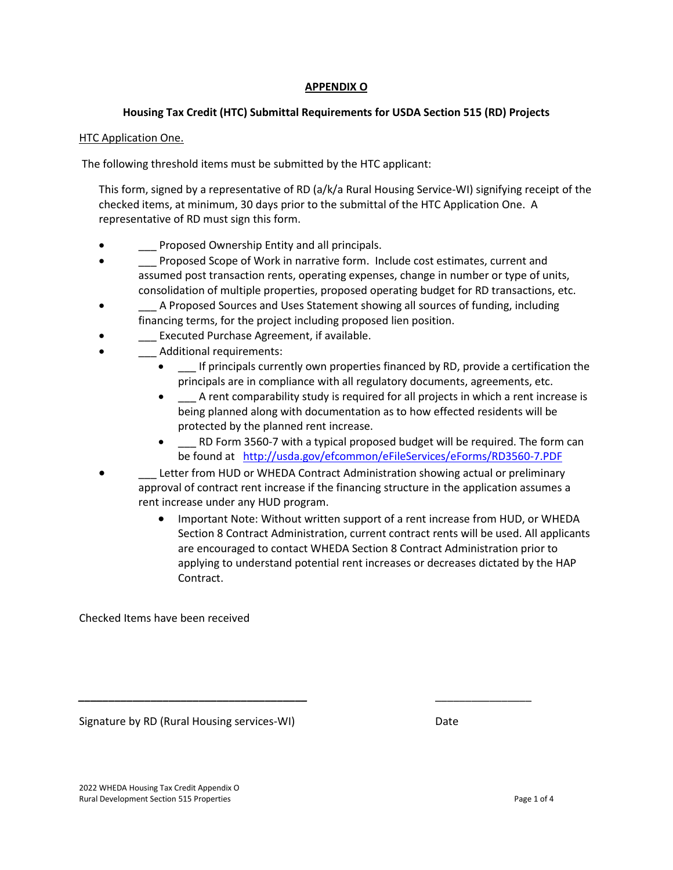## **APPENDIX O**

# **Housing Tax Credit (HTC) Submittal Requirements for USDA Section 515 (RD) Projects**

## HTC Application One.

The following threshold items must be submitted by the HTC applicant:

This form, signed by a representative of RD (a/k/a Rural Housing Service-WI) signifying receipt of the checked items, at minimum, 30 days prior to the submittal of the HTC Application One. A representative of RD must sign this form.

- Proposed Ownership Entity and all principals.
- Proposed Scope of Work in narrative form. Include cost estimates, current and assumed post transaction rents, operating expenses, change in number or type of units, consolidation of multiple properties, proposed operating budget for RD transactions, etc.
- A Proposed Sources and Uses Statement showing all sources of funding, including financing terms, for the project including proposed lien position.
- **\_\_\_ Executed Purchase Agreement, if available.**
- \_\_\_ Additional requirements:
	- \_\_\_ If principals currently own properties financed by RD, provide a certification the principals are in compliance with all regulatory documents, agreements, etc.
	- A rent comparability study is required for all projects in which a rent increase is being planned along with documentation as to how effected residents will be protected by the planned rent increase.
	- RD Form 3560-7 with a typical proposed budget will be required. The form can be found at [http://usda.gov/efcommon/eFileServices/eForms/RD3560-7.PDF](http://forms.sc.egov.usda.gov/efcommon/eFileServices/eForms/RD3560-7.PDF)
- Letter from HUD or WHEDA Contract Administration showing actual or preliminary approval of contract rent increase if the financing structure in the application assumes a rent increase under any HUD program.

*\_\_\_\_\_\_\_\_\_\_\_\_\_\_\_\_\_\_\_\_\_\_\_\_\_\_\_\_\_\_\_\_\_\_\_\_\_\_* \_\_\_\_\_\_\_\_\_\_\_\_\_\_\_\_

• Important Note: Without written support of a rent increase from HUD, or WHEDA Section 8 Contract Administration, current contract rents will be used. All applicants are encouraged to contact WHEDA Section 8 Contract Administration prior to applying to understand potential rent increases or decreases dictated by the HAP Contract.

Checked Items have been received

Signature by RD (Rural Housing services-WI) Date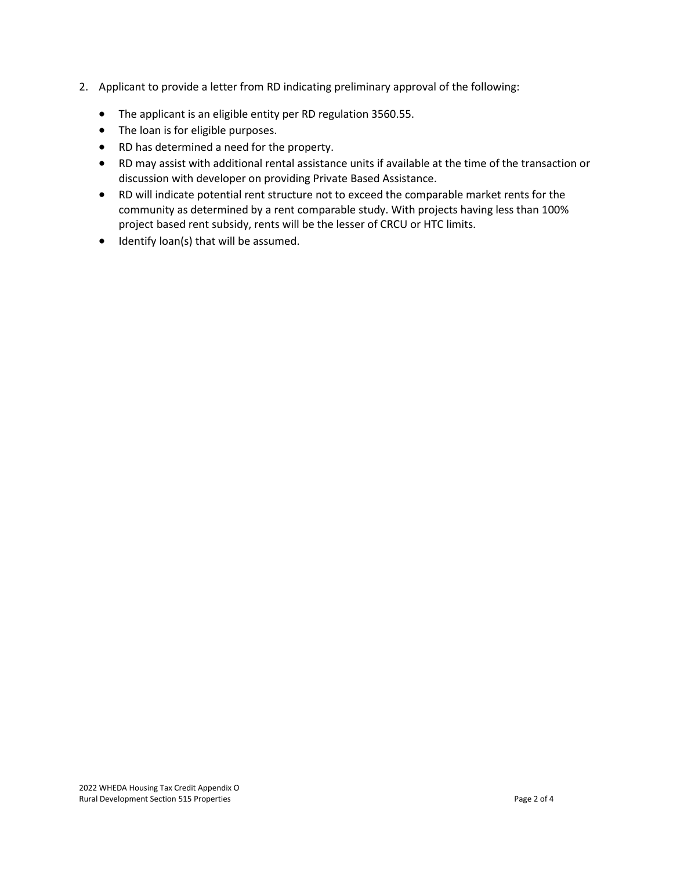- 2. Applicant to provide a letter from RD indicating preliminary approval of the following:
	- The applicant is an eligible entity per RD regulation 3560.55.
	- The loan is for eligible purposes.
	- RD has determined a need for the property.
	- RD may assist with additional rental assistance units if available at the time of the transaction or discussion with developer on providing Private Based Assistance.
	- RD will indicate potential rent structure not to exceed the comparable market rents for the community as determined by a rent comparable study. With projects having less than 100% project based rent subsidy, rents will be the lesser of CRCU or HTC limits.
	- Identify loan(s) that will be assumed.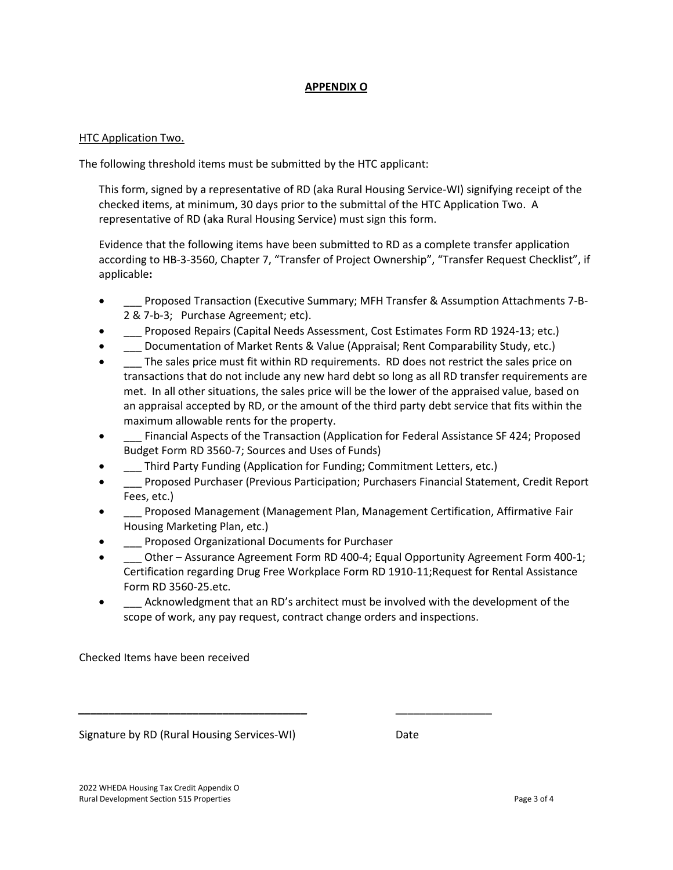## **APPENDIX O**

## HTC Application Two.

The following threshold items must be submitted by the HTC applicant:

This form, signed by a representative of RD (aka Rural Housing Service-WI) signifying receipt of the checked items, at minimum, 30 days prior to the submittal of the HTC Application Two. A representative of RD (aka Rural Housing Service) must sign this form.

Evidence that the following items have been submitted to RD as a complete transfer application according to HB-3-3560, Chapter 7, "Transfer of Project Ownership", "Transfer Request Checklist", if applicable**:**

- \_\_\_ Proposed Transaction (Executive Summary; MFH Transfer & Assumption Attachments 7-B-2 & 7-b-3; Purchase Agreement; etc).
- \_\_\_ Proposed Repairs (Capital Needs Assessment, Cost Estimates Form RD 1924-13; etc.)
- Documentation of Market Rents & Value (Appraisal; Rent Comparability Study, etc.)
- \_\_\_ The sales price must fit within RD requirements. RD does not restrict the sales price on transactions that do not include any new hard debt so long as all RD transfer requirements are met. In all other situations, the sales price will be the lower of the appraised value, based on an appraisal accepted by RD, or the amount of the third party debt service that fits within the maximum allowable rents for the property.
- \_\_\_ Financial Aspects of the Transaction (Application for Federal Assistance SF 424; Proposed Budget Form RD 3560-7; Sources and Uses of Funds)
- Third Party Funding (Application for Funding; Commitment Letters, etc.)

*\_\_\_\_\_\_\_\_\_\_\_\_\_\_\_\_\_\_\_\_\_\_\_\_\_\_\_\_\_\_\_\_\_\_\_\_\_\_* \_\_\_\_\_\_\_\_\_\_\_\_\_\_\_\_

- \_\_\_ Proposed Purchaser (Previous Participation; Purchasers Financial Statement, Credit Report Fees, etc.)
- \_\_\_ Proposed Management (Management Plan, Management Certification, Affirmative Fair Housing Marketing Plan, etc.)
- \_\_\_ Proposed Organizational Documents for Purchaser
- Other Assurance Agreement Form RD 400-4; Equal Opportunity Agreement Form 400-1; Certification regarding Drug Free Workplace Form RD 1910-11;Request for Rental Assistance Form RD 3560-25.etc.
- Acknowledgment that an RD's architect must be involved with the development of the scope of work, any pay request, contract change orders and inspections.

Checked Items have been received

Signature by RD (Rural Housing Services-WI) Date

2022 WHEDA Housing Tax Credit Appendix O Rural Development Section 515 Properties **Page 3 of 4** and 2011 12 and 2012 12 and 2012 12 and 2012 12 and 2012 12 and 2012 12 and 2012 12 and 2012 12 and 2012 12 and 2012 12 and 2012 12 and 2012 12 and 2012 12 and 2012 12